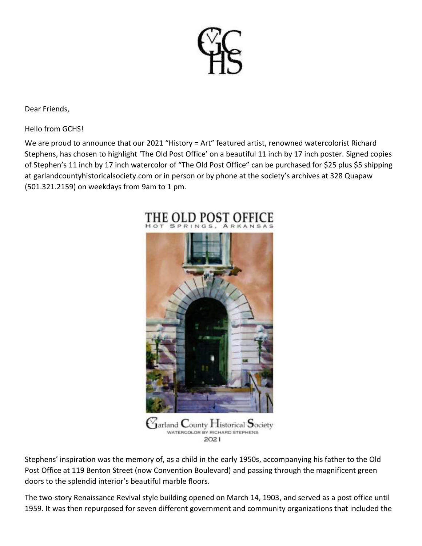

Dear Friends,

Hello from GCHS!

We are proud to announce that our 2021 "History = Art" featured artist, renowned watercolorist Richard Stephens, has chosen to highlight 'The Old Post Office' on a beautiful 11 inch by 17 inch poster. Signed copies of Stephen's 11 inch by 17 inch watercolor of "The Old Post Office" can be purchased for \$25 plus \$5 shipping at garlandcountyhistoricalsociety.com or in person or by phone at the society's archives at 328 Quapaw (501.321.2159) on weekdays from 9am to 1 pm.



Stephens' inspiration was the memory of, as a child in the early 1950s, accompanying his father to the Old Post Office at 119 Benton Street (now Convention Boulevard) and passing through the magnificent green doors to the splendid interior's beautiful marble floors.

The two-story Renaissance Revival style building opened on March 14, 1903, and served as a post office until 1959. It was then repurposed for seven different government and community organizations that included the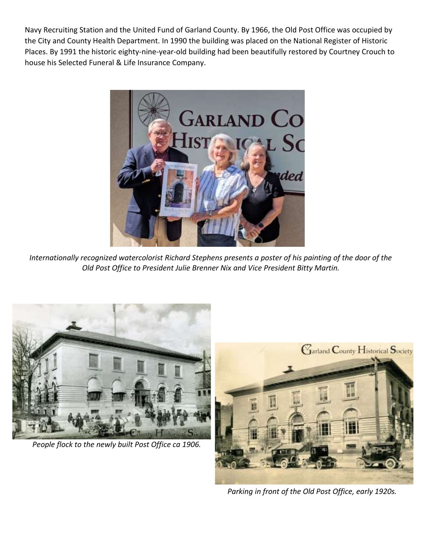Navy Recruiting Station and the United Fund of Garland County. By 1966, the Old Post Office was occupied by the City and County Health Department. In 1990 the building was placed on the National Register of Historic Places. By 1991 the historic eighty-nine-year-old building had been beautifully restored by Courtney Crouch to house his Selected Funeral & Life Insurance Company.



*Internationally recognized watercolorist Richard Stephens presents a poster of his painting of the door of the Old Post Office to President Julie Brenner Nix and Vice President Bitty Martin.*



*People flock to the newly built Post Office ca 1906.*



*Parking in front of the Old Post Office, early 1920s.*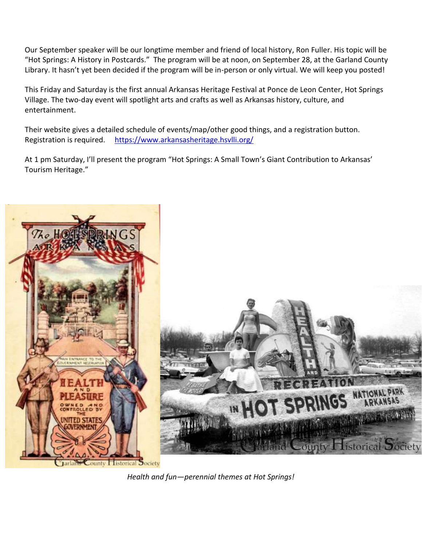Our September speaker will be our longtime member and friend of local history, Ron Fuller. His topic will be "Hot Springs: A History in Postcards." The program will be at noon, on September 28, at the Garland County Library. It hasn't yet been decided if the program will be in-person or only virtual. We will keep you posted!

This Friday and Saturday is the first annual Arkansas Heritage Festival at Ponce de Leon Center, Hot Springs Village. The two-day event will spotlight arts and crafts as well as Arkansas history, culture, and entertainment.

Their website gives a detailed schedule of events/map/other good things, and a registration button. Registration is required. <https://www.arkansasheritage.hsvlli.org/>

At 1 pm Saturday, I'll present the program "Hot Springs: A Small Town's Giant Contribution to Arkansas' Tourism Heritage."



*Health and fun—perennial themes at Hot Springs!*